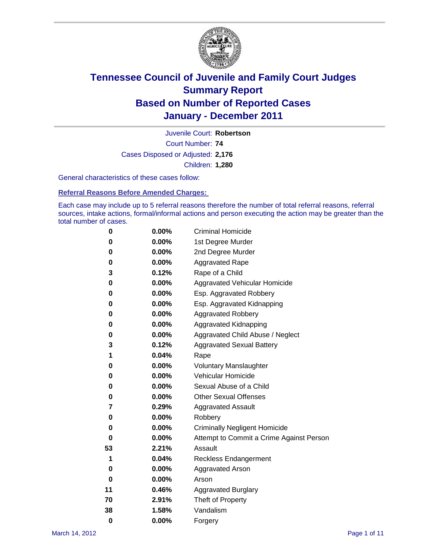

Court Number: **74** Juvenile Court: **Robertson** Cases Disposed or Adjusted: **2,176** Children: **1,280**

General characteristics of these cases follow:

**Referral Reasons Before Amended Charges:** 

Each case may include up to 5 referral reasons therefore the number of total referral reasons, referral sources, intake actions, formal/informal actions and person executing the action may be greater than the total number of cases.

| 0  | 0.00% | <b>Criminal Homicide</b>                 |
|----|-------|------------------------------------------|
| 0  | 0.00% | 1st Degree Murder                        |
| 0  | 0.00% | 2nd Degree Murder                        |
| 0  | 0.00% | <b>Aggravated Rape</b>                   |
| 3  | 0.12% | Rape of a Child                          |
| 0  | 0.00% | Aggravated Vehicular Homicide            |
| 0  | 0.00% | Esp. Aggravated Robbery                  |
| 0  | 0.00% | Esp. Aggravated Kidnapping               |
| 0  | 0.00% | Aggravated Robbery                       |
| 0  | 0.00% | Aggravated Kidnapping                    |
| 0  | 0.00% | Aggravated Child Abuse / Neglect         |
| 3  | 0.12% | <b>Aggravated Sexual Battery</b>         |
| 1  | 0.04% | Rape                                     |
| 0  | 0.00% | <b>Voluntary Manslaughter</b>            |
| 0  | 0.00% | Vehicular Homicide                       |
| 0  | 0.00% | Sexual Abuse of a Child                  |
| 0  | 0.00% | <b>Other Sexual Offenses</b>             |
| 7  | 0.29% | <b>Aggravated Assault</b>                |
| 0  | 0.00% | Robbery                                  |
| 0  | 0.00% | <b>Criminally Negligent Homicide</b>     |
| 0  | 0.00% | Attempt to Commit a Crime Against Person |
| 53 | 2.21% | Assault                                  |
| 1  | 0.04% | <b>Reckless Endangerment</b>             |
| 0  | 0.00% | <b>Aggravated Arson</b>                  |
| 0  | 0.00% | Arson                                    |
| 11 | 0.46% | <b>Aggravated Burglary</b>               |
| 70 | 2.91% | Theft of Property                        |
| 38 | 1.58% | Vandalism                                |
| 0  | 0.00% | Forgery                                  |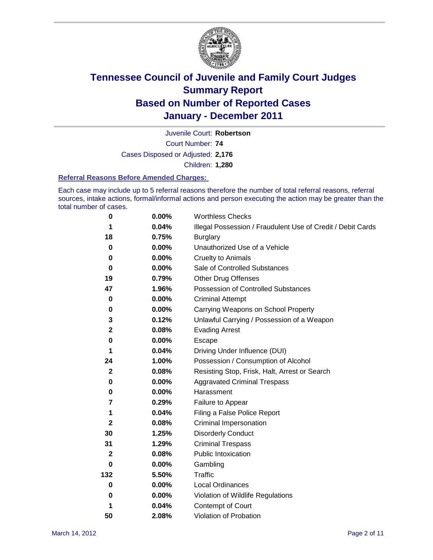

Court Number: **74** Juvenile Court: **Robertson** Cases Disposed or Adjusted: **2,176** Children: **1,280**

#### **Referral Reasons Before Amended Charges:**

Each case may include up to 5 referral reasons therefore the number of total referral reasons, referral sources, intake actions, formal/informal actions and person executing the action may be greater than the total number of cases.

| $\pmb{0}$               | 0.00%    | <b>Worthless Checks</b>                                     |
|-------------------------|----------|-------------------------------------------------------------|
| 1                       | 0.04%    | Illegal Possession / Fraudulent Use of Credit / Debit Cards |
| 18                      | 0.75%    | <b>Burglary</b>                                             |
| $\bf{0}$                | $0.00\%$ | Unauthorized Use of a Vehicle                               |
| 0                       | $0.00\%$ | <b>Cruelty to Animals</b>                                   |
| $\bf{0}$                | $0.00\%$ | Sale of Controlled Substances                               |
| 19                      | 0.79%    | <b>Other Drug Offenses</b>                                  |
| 47                      | 1.96%    | Possession of Controlled Substances                         |
| 0                       | $0.00\%$ | <b>Criminal Attempt</b>                                     |
| 0                       | 0.00%    | Carrying Weapons on School Property                         |
| 3                       | 0.12%    | Unlawful Carrying / Possession of a Weapon                  |
| 2                       | 0.08%    | <b>Evading Arrest</b>                                       |
| 0                       | 0.00%    | Escape                                                      |
| 1                       | 0.04%    | Driving Under Influence (DUI)                               |
| 24                      | 1.00%    | Possession / Consumption of Alcohol                         |
| $\mathbf 2$             | 0.08%    | Resisting Stop, Frisk, Halt, Arrest or Search               |
| 0                       | $0.00\%$ | <b>Aggravated Criminal Trespass</b>                         |
| 0                       | $0.00\%$ | Harassment                                                  |
| $\overline{\mathbf{r}}$ | 0.29%    | Failure to Appear                                           |
| 1                       | 0.04%    | Filing a False Police Report                                |
| $\mathbf{2}$            | 0.08%    | Criminal Impersonation                                      |
| 30                      | 1.25%    | <b>Disorderly Conduct</b>                                   |
| 31                      | 1.29%    | <b>Criminal Trespass</b>                                    |
| $\mathbf{2}$            | 0.08%    | <b>Public Intoxication</b>                                  |
| 0                       | $0.00\%$ | Gambling                                                    |
| 132                     | 5.50%    | <b>Traffic</b>                                              |
| 0                       | $0.00\%$ | Local Ordinances                                            |
| 0                       | $0.00\%$ | Violation of Wildlife Regulations                           |
| 1                       | 0.04%    | Contempt of Court                                           |
| 50                      | 2.08%    | Violation of Probation                                      |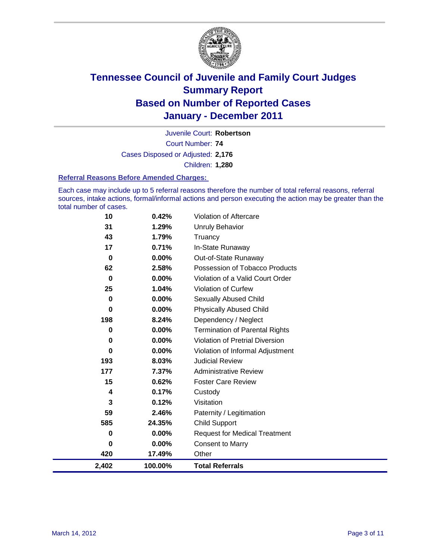

Court Number: **74** Juvenile Court: **Robertson** Cases Disposed or Adjusted: **2,176** Children: **1,280**

#### **Referral Reasons Before Amended Charges:**

Each case may include up to 5 referral reasons therefore the number of total referral reasons, referral sources, intake actions, formal/informal actions and person executing the action may be greater than the total number of cases.

| 10               | 0.42%    | Violation of Aftercare                 |
|------------------|----------|----------------------------------------|
| 31               | 1.29%    | Unruly Behavior                        |
| 43               | 1.79%    | Truancy                                |
| 17               | 0.71%    | In-State Runaway                       |
| $\boldsymbol{0}$ | 0.00%    | Out-of-State Runaway                   |
| 62               | 2.58%    | Possession of Tobacco Products         |
| 0                | $0.00\%$ | Violation of a Valid Court Order       |
| 25               | 1.04%    | Violation of Curfew                    |
| 0                | $0.00\%$ | <b>Sexually Abused Child</b>           |
| 0                | 0.00%    | <b>Physically Abused Child</b>         |
| 198              | 8.24%    | Dependency / Neglect                   |
| 0                | 0.00%    | <b>Termination of Parental Rights</b>  |
| 0                | $0.00\%$ | <b>Violation of Pretrial Diversion</b> |
| 0                | 0.00%    | Violation of Informal Adjustment       |
| 193              | 8.03%    | <b>Judicial Review</b>                 |
| 177              | 7.37%    | <b>Administrative Review</b>           |
| 15               | 0.62%    | <b>Foster Care Review</b>              |
| 4                | 0.17%    | Custody                                |
| 3                | 0.12%    | Visitation                             |
| 59               | 2.46%    | Paternity / Legitimation               |
| 585              | 24.35%   | <b>Child Support</b>                   |
| 0                | 0.00%    | <b>Request for Medical Treatment</b>   |
| $\bf{0}$         | 0.00%    | <b>Consent to Marry</b>                |
| 420              | 17.49%   | Other                                  |
| 2,402            | 100.00%  | <b>Total Referrals</b>                 |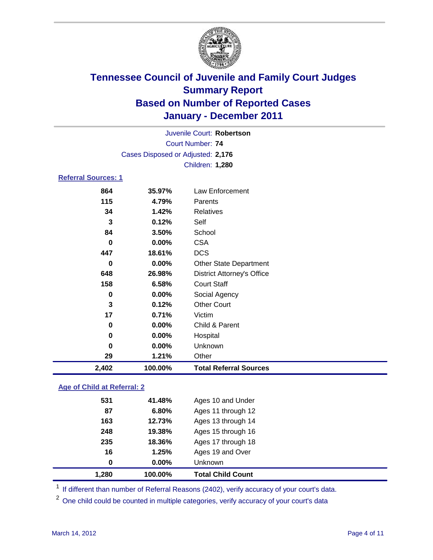

|                                   |          | Juvenile Court: Robertson         |  |  |  |  |
|-----------------------------------|----------|-----------------------------------|--|--|--|--|
| Court Number: 74                  |          |                                   |  |  |  |  |
| Cases Disposed or Adjusted: 2,176 |          |                                   |  |  |  |  |
|                                   |          | Children: 1,280                   |  |  |  |  |
| Referral Sources: 1               |          |                                   |  |  |  |  |
| 864                               | 35.97%   | Law Enforcement                   |  |  |  |  |
| 115                               | 4.79%    | Parents                           |  |  |  |  |
| 34                                | 1.42%    | Relatives                         |  |  |  |  |
| 3                                 | 0.12%    | Self                              |  |  |  |  |
| 84                                | 3.50%    | School                            |  |  |  |  |
| 0                                 | $0.00\%$ | <b>CSA</b>                        |  |  |  |  |
| 447                               | 18.61%   | <b>DCS</b>                        |  |  |  |  |
| 0                                 | $0.00\%$ | <b>Other State Department</b>     |  |  |  |  |
| 648                               | 26.98%   | <b>District Attorney's Office</b> |  |  |  |  |
| 158                               | 6.58%    | <b>Court Staff</b>                |  |  |  |  |
| 0                                 | $0.00\%$ | Social Agency                     |  |  |  |  |
| 3                                 | 0.12%    | <b>Other Court</b>                |  |  |  |  |
| 17                                | 0.71%    | Victim                            |  |  |  |  |
| 0                                 | $0.00\%$ | Child & Parent                    |  |  |  |  |

| 2.402 | 100.00%  | <b>Total Referral Sources</b> |  |
|-------|----------|-------------------------------|--|
| 29    | 1.21%    | Other                         |  |
| 0     | $0.00\%$ | Unknown                       |  |
| 0     | $0.00\%$ | Hospital                      |  |

### **Age of Child at Referral: 2**

| 16<br>$\bf{0}$ | 1.25%<br>0.00% | Ages 19 and Over<br>Unknown |
|----------------|----------------|-----------------------------|
|                |                |                             |
|                |                |                             |
|                | 18.36%         | Ages 17 through 18          |
| 248            | 19.38%         | Ages 15 through 16          |
| 163            | 12.73%         | Ages 13 through 14          |
| 87             | 6.80%          | Ages 11 through 12          |
| 531            | 41.48%         | Ages 10 and Under           |
|                | 235            |                             |

<sup>1</sup> If different than number of Referral Reasons (2402), verify accuracy of your court's data.

<sup>2</sup> One child could be counted in multiple categories, verify accuracy of your court's data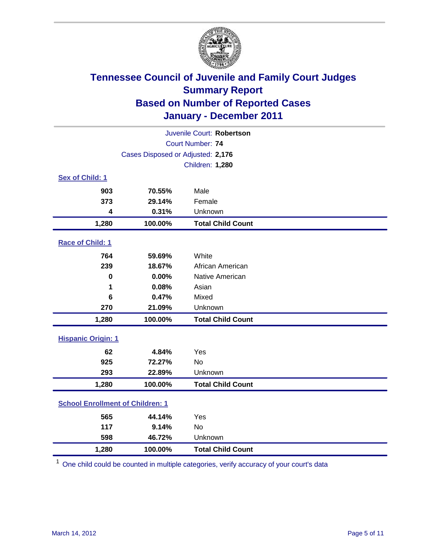

| Juvenile Court: Robertson               |                                   |                          |  |  |  |
|-----------------------------------------|-----------------------------------|--------------------------|--|--|--|
|                                         | <b>Court Number: 74</b>           |                          |  |  |  |
|                                         | Cases Disposed or Adjusted: 2,176 |                          |  |  |  |
|                                         | <b>Children: 1,280</b>            |                          |  |  |  |
| Sex of Child: 1                         |                                   |                          |  |  |  |
| 903                                     | 70.55%                            | Male                     |  |  |  |
| 373                                     | 29.14%                            | Female                   |  |  |  |
| 4                                       | 0.31%                             | Unknown                  |  |  |  |
| 1,280                                   | 100.00%                           | <b>Total Child Count</b> |  |  |  |
| Race of Child: 1                        |                                   |                          |  |  |  |
| 764                                     | 59.69%                            | White                    |  |  |  |
| 239                                     | 18.67%                            | African American         |  |  |  |
| $\mathbf 0$                             | 0.00%                             | Native American          |  |  |  |
| 1                                       | 0.08%                             | Asian                    |  |  |  |
| 6                                       | 0.47%                             | Mixed                    |  |  |  |
| 270                                     | 21.09%                            | Unknown                  |  |  |  |
| 1,280                                   | 100.00%                           | <b>Total Child Count</b> |  |  |  |
| <b>Hispanic Origin: 1</b>               |                                   |                          |  |  |  |
| 62                                      | 4.84%                             | Yes                      |  |  |  |
| 925                                     | 72.27%                            | No                       |  |  |  |
| 293                                     | 22.89%                            | Unknown                  |  |  |  |
| 1,280                                   | 100.00%                           | <b>Total Child Count</b> |  |  |  |
| <b>School Enrollment of Children: 1</b> |                                   |                          |  |  |  |
| 565                                     | 44.14%                            | Yes                      |  |  |  |
| 117                                     | 9.14%                             | <b>No</b>                |  |  |  |
| 598                                     | 46.72%                            | Unknown                  |  |  |  |
| 1,280                                   | 100.00%                           | <b>Total Child Count</b> |  |  |  |

<sup>1</sup> One child could be counted in multiple categories, verify accuracy of your court's data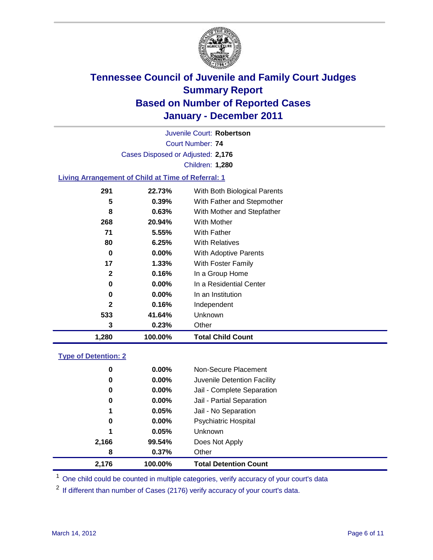

Court Number: **74** Juvenile Court: **Robertson** Cases Disposed or Adjusted: **2,176** Children: **1,280**

### **Living Arrangement of Child at Time of Referral: 1**

| 1,280        | 100.00%  | <b>Total Child Count</b>     |
|--------------|----------|------------------------------|
| 3            | 0.23%    | Other                        |
| 533          | 41.64%   | <b>Unknown</b>               |
| 2            | 0.16%    | Independent                  |
| 0            | $0.00\%$ | In an Institution            |
| 0            | $0.00\%$ | In a Residential Center      |
| $\mathbf{2}$ | 0.16%    | In a Group Home              |
| 17           | 1.33%    | With Foster Family           |
| 0            | $0.00\%$ | With Adoptive Parents        |
| 80           | 6.25%    | <b>With Relatives</b>        |
| 71           | 5.55%    | With Father                  |
| 268          | 20.94%   | With Mother                  |
| 8            | 0.63%    | With Mother and Stepfather   |
| 5            | 0.39%    | With Father and Stepmother   |
| 291          | 22.73%   | With Both Biological Parents |
|              |          |                              |

### **Type of Detention: 2**

| 2,176 | 100.00%       | <b>Total Detention Count</b> |
|-------|---------------|------------------------------|
|       | 0.37%<br>8    | Other                        |
| 2,166 | 99.54%        | Does Not Apply               |
|       | 1<br>0.05%    | <b>Unknown</b>               |
|       | $0.00\%$<br>0 | <b>Psychiatric Hospital</b>  |
|       | 0.05%<br>1    | Jail - No Separation         |
|       | 0<br>$0.00\%$ | Jail - Partial Separation    |
|       | 0.00%<br>0    | Jail - Complete Separation   |
|       | 0.00%<br>0    | Juvenile Detention Facility  |
|       | 0<br>$0.00\%$ | Non-Secure Placement         |
|       |               |                              |

<sup>1</sup> One child could be counted in multiple categories, verify accuracy of your court's data

<sup>2</sup> If different than number of Cases (2176) verify accuracy of your court's data.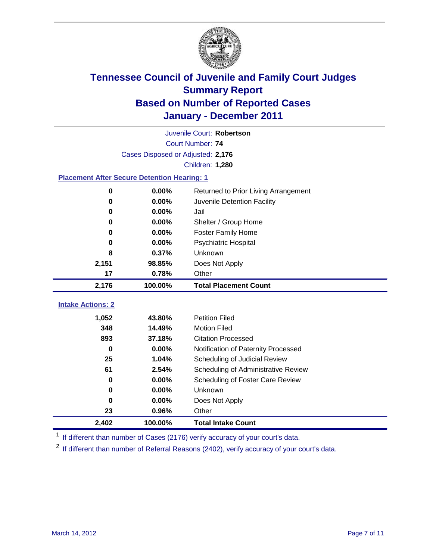

|                                                    | Juvenile Court: Robertson         |                                      |  |  |  |  |
|----------------------------------------------------|-----------------------------------|--------------------------------------|--|--|--|--|
|                                                    | Court Number: 74                  |                                      |  |  |  |  |
|                                                    | Cases Disposed or Adjusted: 2,176 |                                      |  |  |  |  |
|                                                    |                                   | Children: 1,280                      |  |  |  |  |
| <b>Placement After Secure Detention Hearing: 1</b> |                                   |                                      |  |  |  |  |
| $\pmb{0}$                                          | 0.00%                             | Returned to Prior Living Arrangement |  |  |  |  |
| $\bf{0}$                                           | 0.00%                             | Juvenile Detention Facility          |  |  |  |  |
| 0                                                  | 0.00%<br>Jail                     |                                      |  |  |  |  |
| 0                                                  | 0.00%                             | Shelter / Group Home                 |  |  |  |  |
| 0                                                  | 0.00%                             | <b>Foster Family Home</b>            |  |  |  |  |
| 0                                                  | 0.00%                             | Psychiatric Hospital                 |  |  |  |  |
| 8                                                  | 0.37%                             | Unknown                              |  |  |  |  |
| 2,151<br>98.85%                                    |                                   | Does Not Apply                       |  |  |  |  |
| 17                                                 | 0.78%                             | Other                                |  |  |  |  |
| 2,176                                              | 100.00%                           | <b>Total Placement Count</b>         |  |  |  |  |
|                                                    |                                   |                                      |  |  |  |  |
| <b>Intake Actions: 2</b>                           |                                   |                                      |  |  |  |  |
| 1,052                                              | 43.80%                            | <b>Petition Filed</b>                |  |  |  |  |
| 348                                                | 14.49%                            | <b>Motion Filed</b>                  |  |  |  |  |
| 893                                                | 37.18%                            | <b>Citation Processed</b>            |  |  |  |  |
| 0.00%<br>$\bf{0}$<br>25<br>1.04%<br>61<br>2.54%    |                                   | Notification of Paternity Processed  |  |  |  |  |
|                                                    |                                   | Scheduling of Judicial Review        |  |  |  |  |
|                                                    |                                   | Scheduling of Administrative Review  |  |  |  |  |
| 0                                                  | 0.00%                             | Scheduling of Foster Care Review     |  |  |  |  |
| $\bf{0}$                                           | 0.00%                             | Unknown                              |  |  |  |  |
| $\bf{0}$                                           | 0.00%                             | Does Not Apply                       |  |  |  |  |
| 23                                                 | 0.96%                             | Other                                |  |  |  |  |
| 2,402                                              | 100.00%                           | <b>Total Intake Count</b>            |  |  |  |  |

<sup>1</sup> If different than number of Cases (2176) verify accuracy of your court's data.

<sup>2</sup> If different than number of Referral Reasons (2402), verify accuracy of your court's data.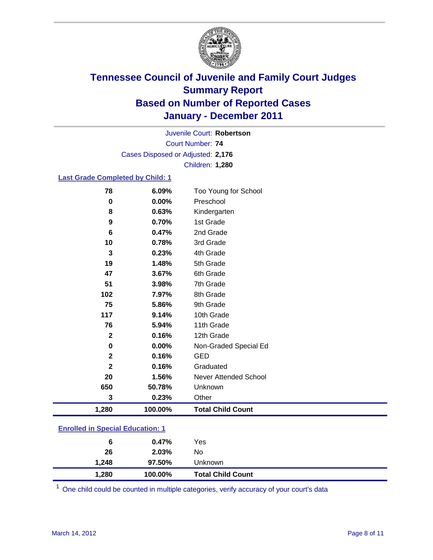

Court Number: **74** Juvenile Court: **Robertson** Cases Disposed or Adjusted: **2,176** Children: **1,280**

#### **Last Grade Completed by Child: 1**

| 78                                      | 6.09%   | Too Young for School         |  |
|-----------------------------------------|---------|------------------------------|--|
| 0                                       | 0.00%   | Preschool                    |  |
| 8                                       | 0.63%   | Kindergarten                 |  |
| 9                                       | 0.70%   | 1st Grade                    |  |
| 6                                       | 0.47%   | 2nd Grade                    |  |
| 10                                      | 0.78%   | 3rd Grade                    |  |
| 3                                       | 0.23%   | 4th Grade                    |  |
| 19                                      | 1.48%   | 5th Grade                    |  |
| 47                                      | 3.67%   | 6th Grade                    |  |
| 51                                      | 3.98%   | 7th Grade                    |  |
| 102                                     | 7.97%   | 8th Grade                    |  |
| 75                                      | 5.86%   | 9th Grade                    |  |
| 117                                     | 9.14%   | 10th Grade                   |  |
| 76                                      | 5.94%   | 11th Grade                   |  |
| $\mathbf{2}$                            | 0.16%   | 12th Grade                   |  |
| 0                                       | 0.00%   | Non-Graded Special Ed        |  |
| $\mathbf 2$                             | 0.16%   | <b>GED</b>                   |  |
| $\mathbf 2$                             | 0.16%   | Graduated                    |  |
| 20                                      | 1.56%   | <b>Never Attended School</b> |  |
| 650                                     | 50.78%  | Unknown                      |  |
| 3                                       | 0.23%   | Other                        |  |
| 1,280                                   | 100.00% | <b>Total Child Count</b>     |  |
| <b>Enrolled in Special Education: 1</b> |         |                              |  |

| Unknown          |                                                                          |
|------------------|--------------------------------------------------------------------------|
| No               |                                                                          |
| Yes              |                                                                          |
| 6<br>26<br>1.248 | 0.47%<br>2.03%<br>97.50%<br>1,280<br>100.00%<br><b>Total Child Count</b> |

One child could be counted in multiple categories, verify accuracy of your court's data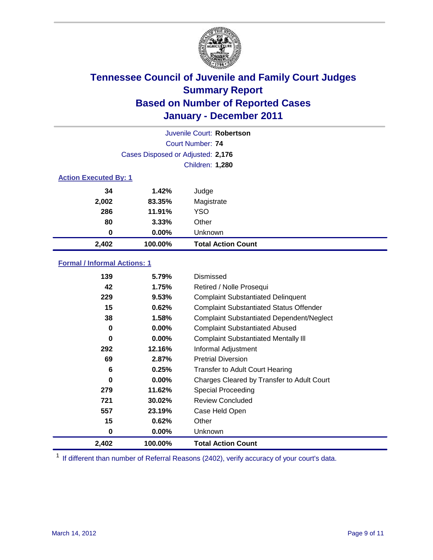

|                              |                                   | Juvenile Court: Robertson |
|------------------------------|-----------------------------------|---------------------------|
|                              |                                   | Court Number: 74          |
|                              | Cases Disposed or Adjusted: 2,176 |                           |
|                              |                                   | Children: 1,280           |
| <b>Action Executed By: 1</b> |                                   |                           |
| 34                           | 1.42%                             | Judge                     |
| 2,002                        | 83.35%                            | Magistrate                |
| 286                          | 11.91%                            | <b>YSO</b>                |
| 80                           | 3.33%                             | Other                     |
| 0                            | $0.00\%$                          | Unknown                   |
| 2,402                        | 100.00%                           | <b>Total Action Count</b> |

### **Formal / Informal Actions: 1**

| 139   | 5.79%    | Dismissed                                        |
|-------|----------|--------------------------------------------------|
| 42    | 1.75%    | Retired / Nolle Prosequi                         |
| 229   | 9.53%    | <b>Complaint Substantiated Delinquent</b>        |
| 15    | 0.62%    | <b>Complaint Substantiated Status Offender</b>   |
| 38    | 1.58%    | <b>Complaint Substantiated Dependent/Neglect</b> |
| 0     | 0.00%    | <b>Complaint Substantiated Abused</b>            |
| 0     | $0.00\%$ | <b>Complaint Substantiated Mentally III</b>      |
| 292   | 12.16%   | Informal Adjustment                              |
| 69    | 2.87%    | <b>Pretrial Diversion</b>                        |
| 6     | 0.25%    | <b>Transfer to Adult Court Hearing</b>           |
| 0     | $0.00\%$ | Charges Cleared by Transfer to Adult Court       |
| 279   | 11.62%   | <b>Special Proceeding</b>                        |
| 721   | 30.02%   | <b>Review Concluded</b>                          |
| 557   | 23.19%   | Case Held Open                                   |
| 15    | 0.62%    | Other                                            |
| 0     | $0.00\%$ | <b>Unknown</b>                                   |
| 2,402 | 100.00%  | <b>Total Action Count</b>                        |

<sup>1</sup> If different than number of Referral Reasons (2402), verify accuracy of your court's data.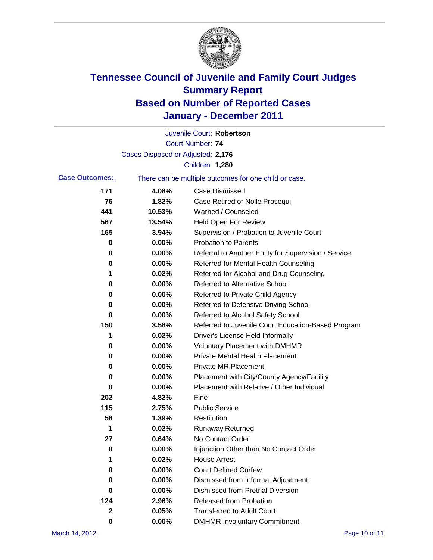

|                       |                                   | Juvenile Court: Robertson                             |
|-----------------------|-----------------------------------|-------------------------------------------------------|
|                       |                                   | <b>Court Number: 74</b>                               |
|                       | Cases Disposed or Adjusted: 2,176 |                                                       |
|                       |                                   | Children: 1,280                                       |
| <b>Case Outcomes:</b> |                                   | There can be multiple outcomes for one child or case. |
| 171                   | 4.08%                             | <b>Case Dismissed</b>                                 |
| 76                    | 1.82%                             | Case Retired or Nolle Prosequi                        |
| 441                   | 10.53%                            | Warned / Counseled                                    |
| 567                   | 13.54%                            | <b>Held Open For Review</b>                           |
| 165                   | 3.94%                             | Supervision / Probation to Juvenile Court             |
| 0                     | 0.00%                             | <b>Probation to Parents</b>                           |
| 0                     | 0.00%                             | Referral to Another Entity for Supervision / Service  |
| 0                     | 0.00%                             | Referred for Mental Health Counseling                 |
| 1                     | 0.02%                             | Referred for Alcohol and Drug Counseling              |
| 0                     | 0.00%                             | Referred to Alternative School                        |
| 0                     | 0.00%                             | Referred to Private Child Agency                      |
| 0                     | 0.00%                             | Referred to Defensive Driving School                  |
| 0                     | 0.00%                             | Referred to Alcohol Safety School                     |
| 150                   | 3.58%                             | Referred to Juvenile Court Education-Based Program    |
| 1                     | 0.02%                             | Driver's License Held Informally                      |
| 0                     | 0.00%                             | <b>Voluntary Placement with DMHMR</b>                 |
| 0                     | 0.00%                             | <b>Private Mental Health Placement</b>                |
| 0                     | 0.00%                             | <b>Private MR Placement</b>                           |
| 0                     | 0.00%                             | Placement with City/County Agency/Facility            |
| 0                     | 0.00%                             | Placement with Relative / Other Individual            |
| 202                   | 4.82%                             | Fine                                                  |
| 115                   | 2.75%                             | <b>Public Service</b>                                 |
| 58                    | 1.39%                             | Restitution                                           |
| 1                     | 0.02%                             | <b>Runaway Returned</b>                               |
| 27                    | 0.64%                             | No Contact Order                                      |
| 0                     | 0.00%                             | Injunction Other than No Contact Order                |
| 1                     | 0.02%                             | <b>House Arrest</b>                                   |
| 0                     | 0.00%                             | <b>Court Defined Curfew</b>                           |
| 0                     | 0.00%                             | Dismissed from Informal Adjustment                    |
| 0                     | 0.00%                             | <b>Dismissed from Pretrial Diversion</b>              |
| 124                   | 2.96%                             | Released from Probation                               |
| $\mathbf{2}$          | 0.05%                             | <b>Transferred to Adult Court</b>                     |
| 0                     | $0.00\%$                          | <b>DMHMR Involuntary Commitment</b>                   |